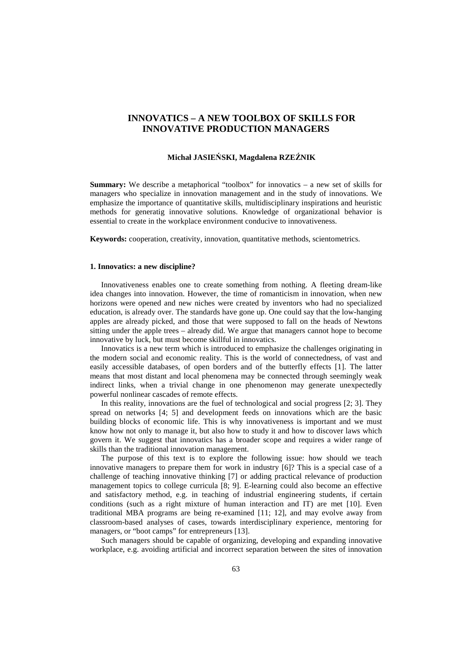# **INNOVATICS – A NEW TOOLBOX OF SKILLS FOR INNOVATIVE PRODUCTION MANAGERS**

## **Michał JASIEŃSKI, Magdalena RZEŹNIK**

**Summary:** We describe a metaphorical "toolbox" for innovatics – a new set of skills for managers who specialize in innovation management and in the study of innovations. We emphasize the importance of quantitative skills, multidisciplinary inspirations and heuristic methods for generatig innovative solutions. Knowledge of organizational behavior is essential to create in the workplace environment conducive to innovativeness.

**Keywords:** cooperation, creativity, innovation, quantitative methods, scientometrics.

### **1. Innovatics: a new discipline?**

Innovativeness enables one to create something from nothing. A fleeting dream-like idea changes into innovation. However, the time of romanticism in innovation, when new horizons were opened and new niches were created by inventors who had no specialized education, is already over. The standards have gone up. One could say that the low-hanging apples are already picked, and those that were supposed to fall on the heads of Newtons sitting under the apple trees – already did. We argue that managers cannot hope to become innovative by luck, but must become skillful in innovatics.

Innovatics is a new term which is introduced to emphasize the challenges originating in the modern social and economic reality. This is the world of connectedness, of vast and easily accessible databases, of open borders and of the butterfly effects [1]. The latter means that most distant and local phenomena may be connected through seemingly weak indirect links, when a trivial change in one phenomenon may generate unexpectedly powerful nonlinear cascades of remote effects.

In this reality, innovations are the fuel of technological and social progress [2; 3]. They spread on networks [4; 5] and development feeds on innovations which are the basic building blocks of economic life. This is why innovativeness is important and we must know how not only to manage it, but also how to study it and how to discover laws which govern it. We suggest that innovatics has a broader scope and requires a wider range of skills than the traditional innovation management.

The purpose of this text is to explore the following issue: how should we teach innovative managers to prepare them for work in industry [6]? This is a special case of a challenge of teaching innovative thinking [7] or adding practical relevance of production management topics to college curricula [8; 9]. E-learning could also become an effective and satisfactory method, e.g. in teaching of industrial engineering students, if certain conditions (such as a right mixture of human interaction and IT) are met [10]. Even traditional MBA programs are being re-examined [11; 12], and may evolve away from classroom-based analyses of cases, towards interdisciplinary experience, mentoring for managers, or "boot camps" for entrepreneurs [13].

Such managers should be capable of organizing, developing and expanding innovative workplace, e.g. avoiding artificial and incorrect separation between the sites of innovation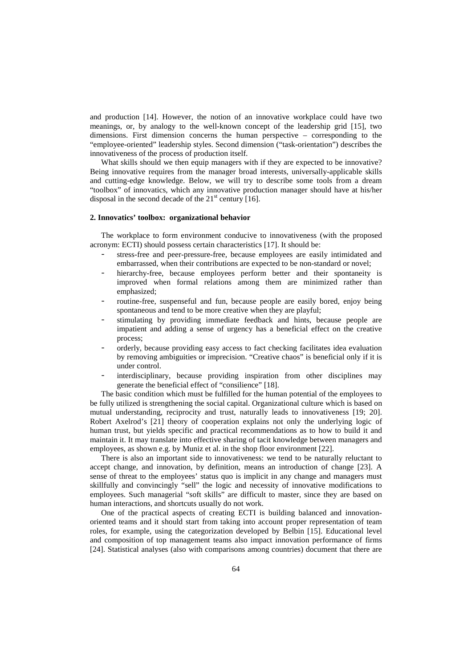and production [14]. However, the notion of an innovative workplace could have two meanings, or, by analogy to the well-known concept of the leadership grid [15], two dimensions. First dimension concerns the human perspective – corresponding to the "employee-oriented" leadership styles. Second dimension ("task-orientation") describes the innovativeness of the process of production itself.

What skills should we then equip managers with if they are expected to be innovative? Being innovative requires from the manager broad interests, universally-applicable skills and cutting-edge knowledge. Below, we will try to describe some tools from a dream "toolbox" of innovatics, which any innovative production manager should have at his/her disposal in the second decade of the  $21<sup>st</sup>$  century [16].

#### **2. Innovatics' toolbox: organizational behavior**

The workplace to form environment conducive to innovativeness (with the proposed acronym: ECTI) should possess certain characteristics [17]. It should be:

- stress-free and peer-pressure-free, because employees are easily intimidated and embarrassed, when their contributions are expected to be non-standard or novel;
- hierarchy-free, because employees perform better and their spontaneity is improved when formal relations among them are minimized rather than emphasized;
- routine-free, suspenseful and fun, because people are easily bored, enjoy being spontaneous and tend to be more creative when they are playful;
- stimulating by providing immediate feedback and hints, because people are impatient and adding a sense of urgency has a beneficial effect on the creative process;
- orderly, because providing easy access to fact checking facilitates idea evaluation by removing ambiguities or imprecision. "Creative chaos" is beneficial only if it is under control.
- interdisciplinary, because providing inspiration from other disciplines may generate the beneficial effect of "consilience" [18].

The basic condition which must be fulfilled for the human potential of the employees to be fully utilized is strengthening the social capital. Organizational culture which is based on mutual understanding, reciprocity and trust, naturally leads to innovativeness [19; 20]. Robert Axelrod's [21] theory of cooperation explains not only the underlying logic of human trust, but yields specific and practical recommendations as to how to build it and maintain it. It may translate into effective sharing of tacit knowledge between managers and employees, as shown e.g. by Muniz et al. in the shop floor environment [22].

There is also an important side to innovativeness: we tend to be naturally reluctant to accept change, and innovation, by definition, means an introduction of change [23]. A sense of threat to the employees' status quo is implicit in any change and managers must skillfully and convincingly "sell" the logic and necessity of innovative modifications to employees. Such managerial "soft skills" are difficult to master, since they are based on human interactions, and shortcuts usually do not work.

One of the practical aspects of creating ECTI is building balanced and innovationoriented teams and it should start from taking into account proper representation of team roles, for example, using the categorization developed by Belbin [15]. Educational level and composition of top management teams also impact innovation performance of firms [24]. Statistical analyses (also with comparisons among countries) document that there are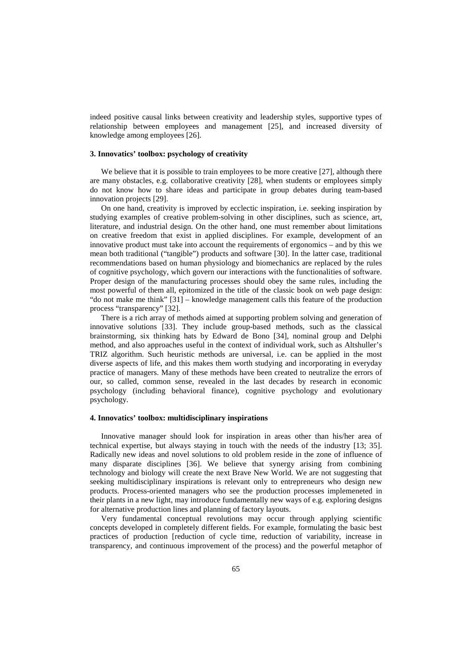indeed positive causal links between creativity and leadership styles, supportive types of relationship between employees and management [25], and increased diversity of knowledge among employees [26].

## **3. Innovatics' toolbox: psychology of creativity**

We believe that it is possible to train employees to be more creative [27], although there are many obstacles, e.g. collaborative creativity [28], when students or employees simply do not know how to share ideas and participate in group debates during team-based innovation projects [29].

On one hand, creativity is improved by ecclectic inspiration, i.e. seeking inspiration by studying examples of creative problem-solving in other disciplines, such as science, art, literature, and industrial design. On the other hand, one must remember about limitations on creative freedom that exist in applied disciplines. For example, development of an innovative product must take into account the requirements of ergonomics – and by this we mean both traditional ("tangible") products and software [30]. In the latter case, traditional recommendations based on human physiology and biomechanics are replaced by the rules of cognitive psychology, which govern our interactions with the functionalities of software. Proper design of the manufacturing processes should obey the same rules, including the most powerful of them all, epitomized in the title of the classic book on web page design: "do not make me think" [31] – knowledge management calls this feature of the production process "transparency" [32].

There is a rich array of methods aimed at supporting problem solving and generation of innovative solutions [33]. They include group-based methods, such as the classical brainstorming, six thinking hats by Edward de Bono [34], nominal group and Delphi method, and also approaches useful in the context of individual work, such as Altshuller's TRIZ algorithm. Such heuristic methods are universal, i.e. can be applied in the most diverse aspects of life, and this makes them worth studying and incorporating in everyday practice of managers. Many of these methods have been created to neutralize the errors of our, so called, common sense, revealed in the last decades by research in economic psychology (including behavioral finance), cognitive psychology and evolutionary psychology.

#### **4. Innovatics' toolbox: multidisciplinary inspirations**

Innovative manager should look for inspiration in areas other than his/her area of technical expertise, but always staying in touch with the needs of the industry [13; 35]. Radically new ideas and novel solutions to old problem reside in the zone of influence of many disparate disciplines [36]. We believe that synergy arising from combining technology and biology will create the next Brave New World. We are not suggesting that seeking multidisciplinary inspirations is relevant only to entrepreneurs who design new products. Process-oriented managers who see the production processes implemeneted in their plants in a new light, may introduce fundamentally new ways of e.g. exploring designs for alternative production lines and planning of factory layouts.

Very fundamental conceptual revolutions may occur through applying scientific concepts developed in completely different fields. For example, formulating the basic best practices of production [reduction of cycle time, reduction of variability, increase in transparency, and continuous improvement of the process) and the powerful metaphor of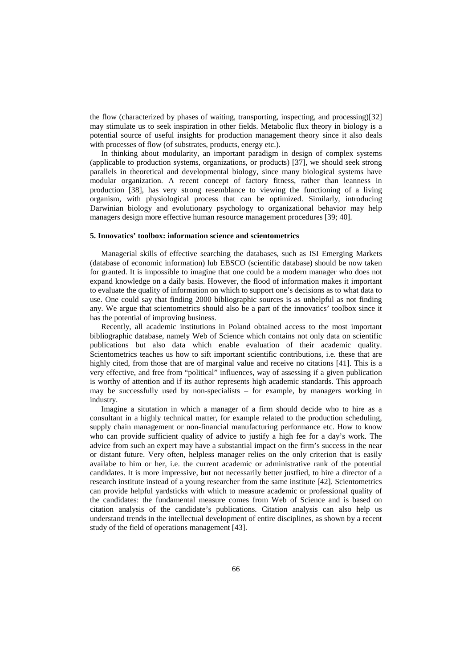the flow (characterized by phases of waiting, transporting, inspecting, and processing)[32] may stimulate us to seek inspiration in other fields. Metabolic flux theory in biology is a potential source of useful insights for production management theory since it also deals with processes of flow (of substrates, products, energy etc.).

In thinking about modularity, an important paradigm in design of complex systems (applicable to production systems, organizations, or products) [37], we should seek strong parallels in theoretical and developmental biology, since many biological systems have modular organization. A recent concept of factory fitness, rather than leanness in production [38], has very strong resemblance to viewing the functioning of a living organism, with physiological process that can be optimized. Similarly, introducing Darwinian biology and evolutionary psychology to organizational behavior may help managers design more effective human resource management procedures [39; 40].

#### **5. Innovatics' toolbox: information science and scientometrics**

Managerial skills of effective searching the databases, such as ISI Emerging Markets (database of economic information) lub EBSCO (scientific database) should be now taken for granted. It is impossible to imagine that one could be a modern manager who does not expand knowledge on a daily basis. However, the flood of information makes it important to evaluate the quality of information on which to support one's decisions as to what data to use. One could say that finding 2000 bibliographic sources is as unhelpful as not finding any. We argue that scientometrics should also be a part of the innovatics' toolbox since it has the potential of improving business.

Recently, all academic institutions in Poland obtained access to the most important bibliographic database, namely Web of Science which contains not only data on scientific publications but also data which enable evaluation of their academic quality. Scientometrics teaches us how to sift important scientific contributions, i.e. these that are highly cited, from those that are of marginal value and receive no citations [41]. This is a very effective, and free from "political" influences, way of assessing if a given publication is worthy of attention and if its author represents high academic standards. This approach may be successfully used by non-specialists – for example, by managers working in industry.

Imagine a situtation in which a manager of a firm should decide who to hire as a consultant in a highly technical matter, for example related to the production scheduling, supply chain management or non-financial manufacturing performance etc. How to know who can provide sufficient quality of advice to justify a high fee for a day's work. The advice from such an expert may have a substantial impact on the firm's success in the near or distant future. Very often, helpless manager relies on the only criterion that is easily availabe to him or her, i.e. the current academic or administrative rank of the potential candidates. It is more impressive, but not necessarily better justfied, to hire a director of a research institute instead of a young researcher from the same institute [42]. Scientometrics can provide helpful yardsticks with which to measure academic or professional quality of the candidates: the fundamental measure comes from Web of Science and is based on citation analysis of the candidate's publications. Citation analysis can also help us understand trends in the intellectual development of entire disciplines, as shown by a recent study of the field of operations management [43].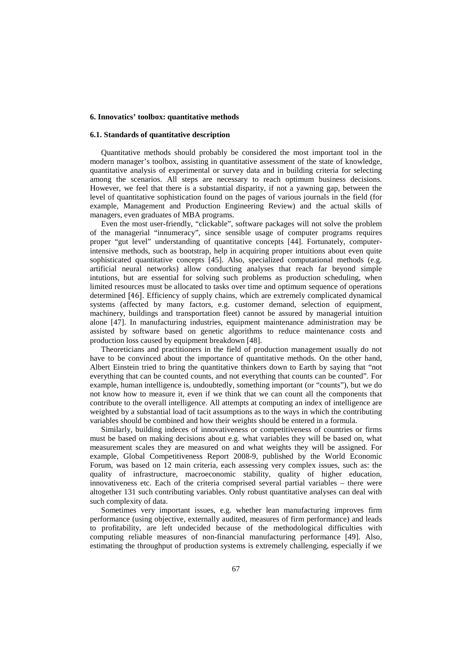#### **6. Innovatics' toolbox: quantitative methods**

### **6.1. Standards of quantitative description**

Quantitative methods should probably be considered the most important tool in the modern manager's toolbox, assisting in quantitative assessment of the state of knowledge, quantitative analysis of experimental or survey data and in building criteria for selecting among the scenarios. All steps are necessary to reach optimum business decisions. However, we feel that there is a substantial disparity, if not a yawning gap, between the level of quantitative sophistication found on the pages of various journals in the field (for example, Management and Production Engineering Review) and the actual skills of managers, even graduates of MBA programs.

Even the most user-friendly, "clickable", software packages will not solve the problem of the managerial "innumeracy", since sensible usage of computer programs requires proper "gut level" understanding of quantitative concepts [44]. Fortunately, computerintensive methods, such as bootstrap, help in acquiring proper intuitions about even quite sophisticated quantitative concepts [45]. Also, specialized computational methods (e.g. artificial neural networks) allow conducting analyses that reach far beyond simple intutions, but are essential for solving such problems as production scheduling, when limited resources must be allocated to tasks over time and optimum sequence of operations determined [46]. Efficiency of supply chains, which are extremely complicated dynamical systems (affected by many factors, e.g. customer demand, selection of equipment, machinery, buildings and transportation fleet) cannot be assured by managerial intuition alone [47]. In manufacturing industries, equipment maintenance administration may be assisted by software based on genetic algorithms to reduce maintenance costs and production loss caused by equipment breakdown [48].

Theoreticians and practitioners in the field of production management usually do not have to be convinced about the importance of quantitative methods. On the other hand, Albert Einstein tried to bring the quantitative thinkers down to Earth by saying that "not everything that can be counted counts, and not everything that counts can be counted". For example, human intelligence is, undoubtedly, something important (or "counts"), but we do not know how to measure it, even if we think that we can count all the components that contribute to the overall intelligence. All attempts at computing an index of intelligence are weighted by a substantial load of tacit assumptions as to the ways in which the contributing variables should be combined and how their weights should be entered in a formula.

Similarly, building indeces of innovativeness or competitiveness of countries or firms must be based on making decisions about e.g. what variables they will be based on, what measurement scales they are measured on and what weights they will be assigned. For example, Global Competitiveness Report 2008-9, published by the World Economic Forum, was based on 12 main criteria, each assessing very complex issues, such as: the quality of infrastructure, macroeconomic stability, quality of higher education, innovativeness etc. Each of the criteria comprised several partial variables – there were altogether 131 such contributing variables. Only robust quantitative analyses can deal with such complexity of data.

Sometimes very important issues, e.g. whether lean manufacturing improves firm performance (using objective, externally audited, measures of firm performance) and leads to profitability, are left undecided because of the methodological difficulties with computing reliable measures of non-financial manufacturing performance [49]. Also, estimating the throughput of production systems is extremely challenging, especially if we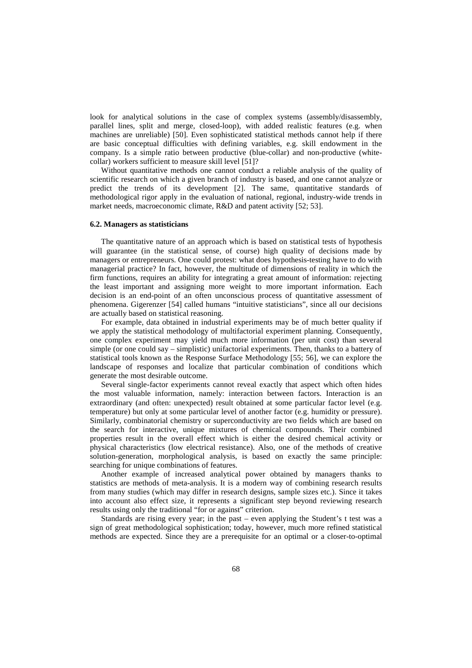look for analytical solutions in the case of complex systems (assembly/disassembly, parallel lines, split and merge, closed-loop), with added realistic features (e.g. when machines are unreliable) [50]. Even sophisticated statistical methods cannot help if there are basic conceptual difficulties with defining variables, e.g. skill endowment in the company. Is a simple ratio between productive (blue-collar) and non-productive (whitecollar) workers sufficient to measure skill level [51]?

Without quantitative methods one cannot conduct a reliable analysis of the quality of scientific research on which a given branch of industry is based, and one cannot analyze or predict the trends of its development [2]. The same, quantitative standards of methodological rigor apply in the evaluation of national, regional, industry-wide trends in market needs, macroeconomic climate, R&D and patent activity [52; 53].

#### **6.2. Managers as statisticians**

The quantitative nature of an approach which is based on statistical tests of hypothesis will guarantee (in the statistical sense, of course) high quality of decisions made by managers or entrepreneurs. One could protest: what does hypothesis-testing have to do with managerial practice? In fact, however, the multitude of dimensions of reality in which the firm functions, requires an ability for integrating a great amount of information: rejecting the least important and assigning more weight to more important information. Each decision is an end-point of an often unconscious process of quantitative assessment of phenomena. Gigerenzer [54] called humans "intuitive statisticians", since all our decisions are actually based on statistical reasoning.

For example, data obtained in industrial experiments may be of much better quality if we apply the statistical methodology of multifactorial experiment planning. Consequently, one complex experiment may yield much more information (per unit cost) than several simple (or one could say – simplistic) unifactorial experiments. Then, thanks to a battery of statistical tools known as the Response Surface Methodology [55; 56], we can explore the landscape of responses and localize that particular combination of conditions which generate the most desirable outcome.

Several single-factor experiments cannot reveal exactly that aspect which often hides the most valuable information, namely: interaction between factors. Interaction is an extraordinary (and often: unexpected) result obtained at some particular factor level (e.g. temperature) but only at some particular level of another factor (e.g. humidity or pressure). Similarly, combinatorial chemistry or superconductivity are two fields which are based on the search for interactive, unique mixtures of chemical compounds. Their combined properties result in the overall effect which is either the desired chemical activity or physical characteristics (low electrical resistance). Also, one of the methods of creative solution-generation, morphological analysis, is based on exactly the same principle: searching for unique combinations of features.

Another example of increased analytical power obtained by managers thanks to statistics are methods of meta-analysis. It is a modern way of combining research results from many studies (which may differ in research designs, sample sizes etc.). Since it takes into account also effect size, it represents a significant step beyond reviewing research results using only the traditional "for or against" criterion.

Standards are rising every year; in the past – even applying the Student's t test was a sign of great methodological sophistication; today, however, much more refined statistical methods are expected. Since they are a prerequisite for an optimal or a closer-to-optimal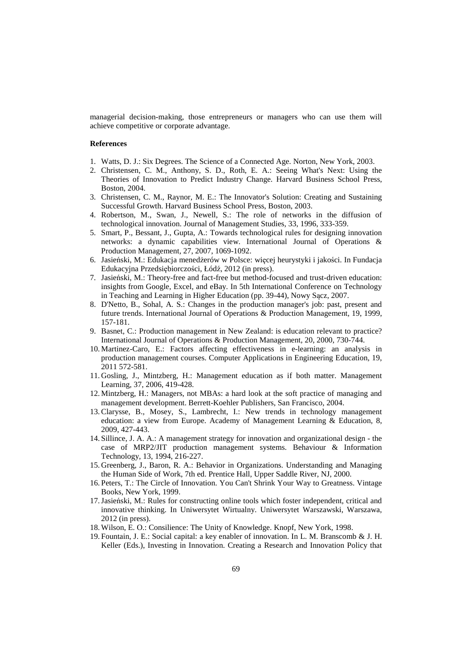managerial decision-making, those entrepreneurs or managers who can use them will achieve competitive or corporate advantage.

#### **References**

- 1. Watts, D. J.: Six Degrees. The Science of a Connected Age. Norton, New York, 2003.
- 2. Christensen, C. M., Anthony, S. D., Roth, E. A.: Seeing What's Next: Using the Theories of Innovation to Predict Industry Change. Harvard Business School Press, Boston, 2004.
- 3. Christensen, C. M., Raynor, M. E.: The Innovator's Solution: Creating and Sustaining Successful Growth. Harvard Business School Press, Boston, 2003.
- 4. Robertson, M., Swan, J., Newell, S.: The role of networks in the diffusion of technological innovation. Journal of Management Studies*,* 33, 1996, 333-359.
- 5. Smart, P., Bessant, J., Gupta, A.: Towards technological rules for designing innovation networks: a dynamic capabilities view. International Journal of Operations & Production Management*,* 27, 2007, 1069-1092.
- 6. Jasieński, M.: Edukacja menedżerów w Polsce: więcej heurystyki i jakości. In Fundacja Edukacyjna Przedsiębiorczości, Łódź, 2012 (in press).
- 7. Jasieński, M.: Theory-free and fact-free but method-focused and trust-driven education: insights from Google, Excel, and eBay. In 5th International Conference on Technology in Teaching and Learning in Higher Education (pp. 39-44), Nowy Sącz, 2007.
- 8. D'Netto, B., Sohal, A. S.: Changes in the production manager's job: past, present and future trends. International Journal of Operations & Production Management*,* 19, 1999, 157-181.
- 9. Basnet, C.: Production management in New Zealand: is education relevant to practice? International Journal of Operations & Production Management*,* 20, 2000, 730-744.
- 10. Martinez-Caro, E.: Factors affecting effectiveness in e-learning: an analysis in production management courses. Computer Applications in Engineering Education*,* 19, 2011 572-581.
- 11. Gosling, J., Mintzberg, H.: Management education as if both matter. Management Learning*,* 37, 2006, 419-428.
- 12. Mintzberg, H.: Managers, not MBAs: a hard look at the soft practice of managing and management development. Berrett-Koehler Publishers, San Francisco, 2004.
- 13.Clarysse, B., Mosey, S., Lambrecht, I.: New trends in technology management education: a view from Europe. Academy of Management Learning & Education*,* 8, 2009, 427-443.
- 14. Sillince, J. A. A.: A management strategy for innovation and organizational design the case of MRP2/JIT production management systems. Behaviour & Information Technology*,* 13, 1994, 216-227.
- 15. Greenberg, J., Baron, R. A.: Behavior in Organizations. Understanding and Managing the Human Side of Work, 7th ed. Prentice Hall, Upper Saddle River, NJ, 2000.
- 16. Peters, T.: The Circle of Innovation. You Can't Shrink Your Way to Greatness. Vintage Books, New York, 1999.
- 17.Jasieński, M.: Rules for constructing online tools which foster independent, critical and innovative thinking. In Uniwersytet Wirtualny. Uniwersytet Warszawski, Warszawa, 2012 (in press).
- 18. Wilson, E. O.: Consilience: The Unity of Knowledge. Knopf, New York, 1998.
- 19. Fountain, J. E.: Social capital: a key enabler of innovation. In L. M. Branscomb & J. H. Keller (Eds.), Investing in Innovation. Creating a Research and Innovation Policy that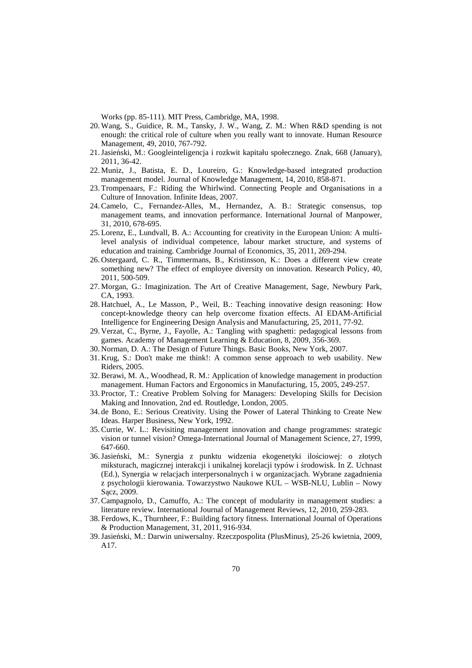Works (pp. 85-111). MIT Press, Cambridge, MA, 1998.

- 20. Wang, S., Guidice, R. M., Tansky, J. W., Wang, Z. M.: When R&D spending is not enough: the critical role of culture when you really want to innovate. Human Resource Management*,* 49, 2010, 767-792.
- 21.Jasieński, M.: Googleinteligencja i rozkwit kapitału społecznego. Znak*,* 668 (January), 2011, 36-42.
- 22. Muniz, J., Batista, E. D., Loureiro, G.: Knowledge-based integrated production management model. Journal of Knowledge Management*,* 14, 2010, 858-871.
- 23. Trompenaars, F.: Riding the Whirlwind. Connecting People and Organisations in a Culture of Innovation. Infinite Ideas, 2007.
- 24.Camelo, C., Fernandez-Alles, M., Hernandez, A. B.: Strategic consensus, top management teams, and innovation performance. International Journal of Manpower*,*  31, 2010, 678-695.
- 25. Lorenz, E., Lundvall, B. A.: Accounting for creativity in the European Union: A multilevel analysis of individual competence, labour market structure, and systems of education and training. Cambridge Journal of Economics*,* 35, 2011, 269-294.
- 26. Ostergaard, C. R., Timmermans, B., Kristinsson, K.: Does a different view create something new? The effect of employee diversity on innovation. Research Policy*,* 40, 2011, 500-509.
- 27. Morgan, G.: Imaginization. The Art of Creative Management, Sage, Newbury Park, CA, 1993.
- 28. Hatchuel, A., Le Masson, P., Weil, B.: Teaching innovative design reasoning: How concept-knowledge theory can help overcome fixation effects. AI EDAM-Artificial Intelligence for Engineering Design Analysis and Manufacturing*,* 25, 2011, 77-92.
- 29. Verzat, C., Byrne, J., Fayolle, A.: Tangling with spaghetti: pedagogical lessons from games. Academy of Management Learning & Education*,* 8, 2009, 356-369.
- 30. Norman, D. A.: The Design of Future Things. Basic Books, New York, 2007.
- 31. Krug, S.: Don't make me think!: A common sense approach to web usability. New Riders, 2005.
- 32.Berawi, M. A., Woodhead, R. M.: Application of knowledge management in production management. Human Factors and Ergonomics in Manufacturing*,* 15, 2005, 249-257.
- 33. Proctor, T.: Creative Problem Solving for Managers: Developing Skills for Decision Making and Innovation, 2nd ed. Routledge, London, 2005.
- 34. de Bono, E.: Serious Creativity. Using the Power of Lateral Thinking to Create New Ideas. Harper Business, New York, 1992.
- 35.Currie, W. L.: Revisiting management innovation and change programmes: strategic vision or tunnel vision? Omega-International Journal of Management Science*,* 27, 1999, 647-660.
- 36.Jasieński, M.: Synergia z punktu widzenia ekogenetyki ilościowej: o złotych miksturach, magicznej interakcji i unikalnej korelacji typów i środowisk. In Z. Uchnast (Ed.), Synergia w relacjach interpersonalnych i w organizacjach. Wybrane zagadnienia z psychologii kierowania. Towarzystwo Naukowe KUL – WSB-NLU, Lublin – Nowy Sącz, 2009.
- 37.Campagnolo, D., Camuffo, A.: The concept of modularity in management studies: a literature review. International Journal of Management Reviews*,* 12, 2010, 259-283.
- 38. Ferdows, K., Thurnheer, F.: Building factory fitness. International Journal of Operations & Production Management*,* 31, 2011, 916-934.
- 39.Jasieński, M.: Darwin uniwersalny. Rzeczpospolita (PlusMinus)*,* 25-26 kwietnia, 2009, A17.